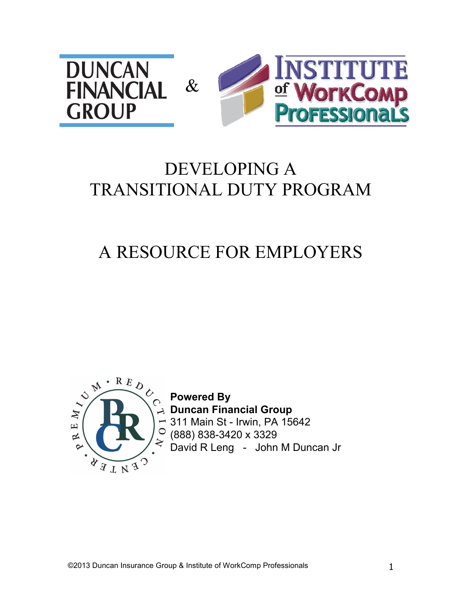

# DEVELOPING A TRANSITIONAL DUTY PROGRAM

# A RESOURCE FOR EMPLOYERS



**Powered By Duncan Financial Group**  $-$  311 Main St - Irwin, PA 15642 (888) 838-3420 x 3329 David R Leng - John M Duncan Jr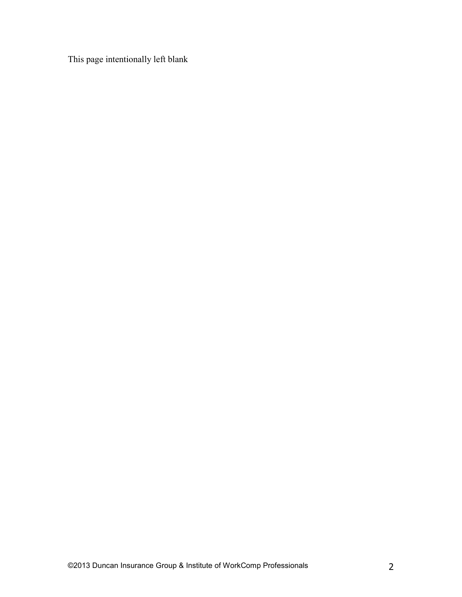This page intentionally left blank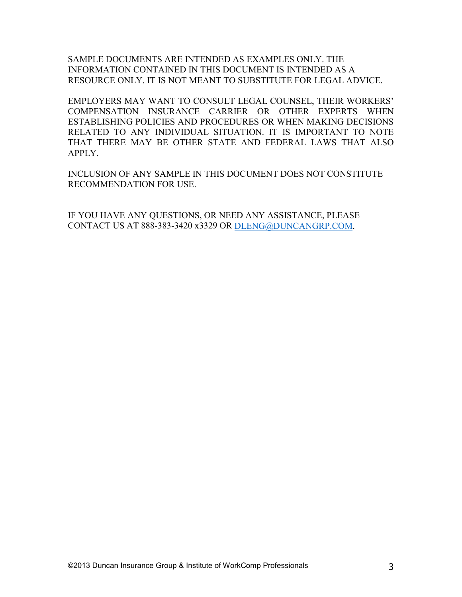SAMPLE DOCUMENTS ARE INTENDED AS EXAMPLES ONLY. THE INFORMATION CONTAINED IN THIS DOCUMENT IS INTENDED AS A RESOURCE ONLY. IT IS NOT MEANT TO SUBSTITUTE FOR LEGAL ADVICE.

EMPLOYERS MAY WANT TO CONSULT LEGAL COUNSEL, THEIR WORKERS' COMPENSATION INSURANCE CARRIER OR OTHER EXPERTS WHEN ESTABLISHING POLICIES AND PROCEDURES OR WHEN MAKING DECISIONS RELATED TO ANY INDIVIDUAL SITUATION. IT IS IMPORTANT TO NOTE THAT THERE MAY BE OTHER STATE AND FEDERAL LAWS THAT ALSO APPLY.

INCLUSION OF ANY SAMPLE IN THIS DOCUMENT DOES NOT CONSTITUTE RECOMMENDATION FOR USE.

IF YOU HAVE ANY QUESTIONS, OR NEED ANY ASSISTANCE, PLEASE CONTACT US AT 888-383-3420 x3329 OR [DLENG@DUNCANGRP.COM.](mailto:DLENG@DUNCANGRP.COM)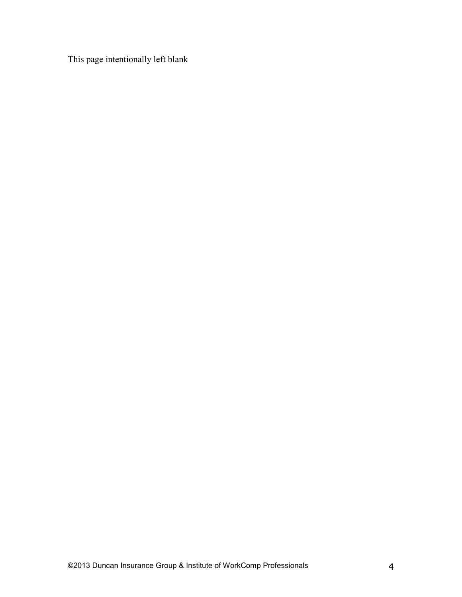This page intentionally left blank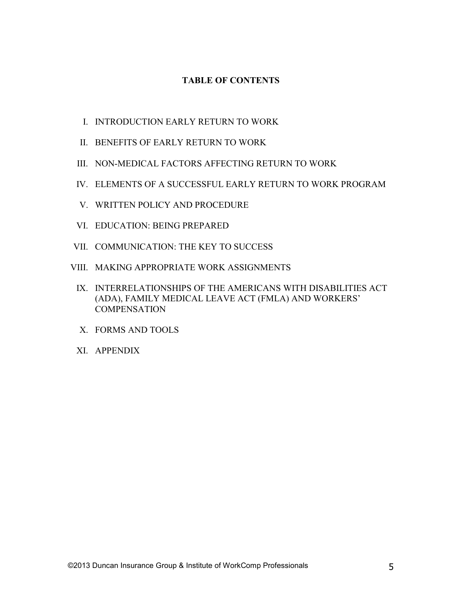#### **TABLE OF CONTENTS**

- I. INTRODUCTION EARLY RETURN TO WORK
- II. BENEFITS OF EARLY RETURN TO WORK
- III. NON-MEDICAL FACTORS AFFECTING RETURN TO WORK
- IV. ELEMENTS OF A SUCCESSFUL EARLY RETURN TO WORK PROGRAM
- V. WRITTEN POLICY AND PROCEDURE
- VI. EDUCATION: BEING PREPARED
- VII. COMMUNICATION: THE KEY TO SUCCESS
- VIII. MAKING APPROPRIATE WORK ASSIGNMENTS
	- IX. INTERRELATIONSHIPS OF THE AMERICANS WITH DISABILITIES ACT (ADA), FAMILY MEDICAL LEAVE ACT (FMLA) AND WORKERS' **COMPENSATION**
	- X. FORMS AND TOOLS
	- XI. APPENDIX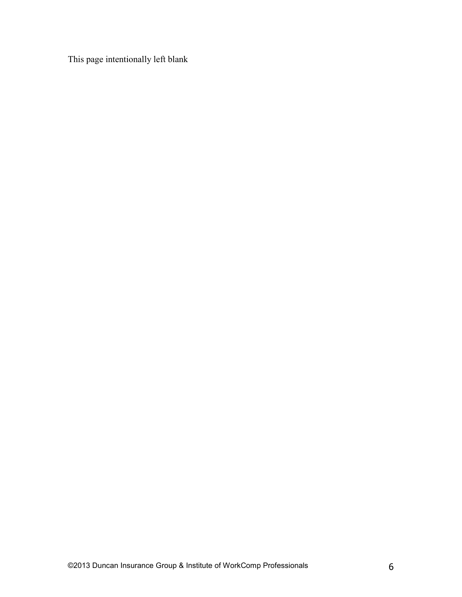This page intentionally left blank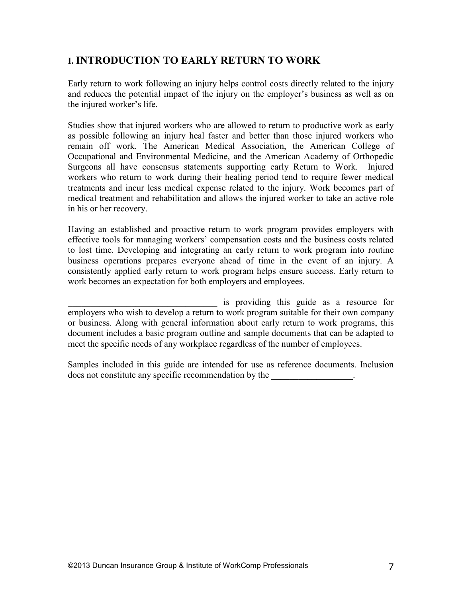## **I. INTRODUCTION TO EARLY RETURN TO WORK**

Early return to work following an injury helps control costs directly related to the injury and reduces the potential impact of the injury on the employer's business as well as on the injured worker's life.

Studies show that injured workers who are allowed to return to productive work as early as possible following an injury heal faster and better than those injured workers who remain off work. The American Medical Association, the American College of Occupational and Environmental Medicine, and the American Academy of Orthopedic Surgeons all have consensus statements supporting early Return to Work. Injured workers who return to work during their healing period tend to require fewer medical treatments and incur less medical expense related to the injury. Work becomes part of medical treatment and rehabilitation and allows the injured worker to take an active role in his or her recovery.

Having an established and proactive return to work program provides employers with effective tools for managing workers' compensation costs and the business costs related to lost time. Developing and integrating an early return to work program into routine business operations prepares everyone ahead of time in the event of an injury. A consistently applied early return to work program helps ensure success. Early return to work becomes an expectation for both employers and employees.

is providing this guide as a resource for employers who wish to develop a return to work program suitable for their own company or business. Along with general information about early return to work programs, this document includes a basic program outline and sample documents that can be adapted to meet the specific needs of any workplace regardless of the number of employees.

Samples included in this guide are intended for use as reference documents. Inclusion does not constitute any specific recommendation by the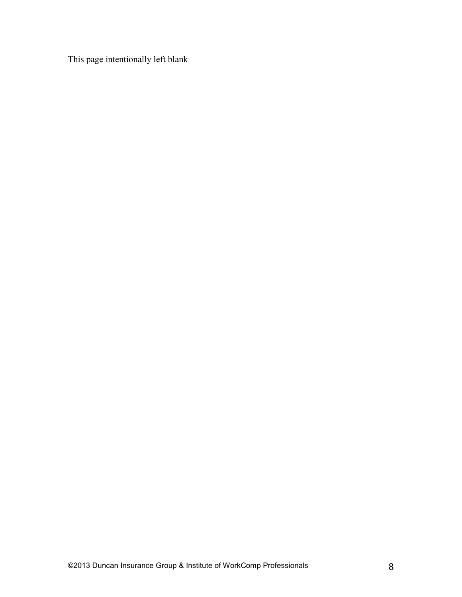This page intentionally left blank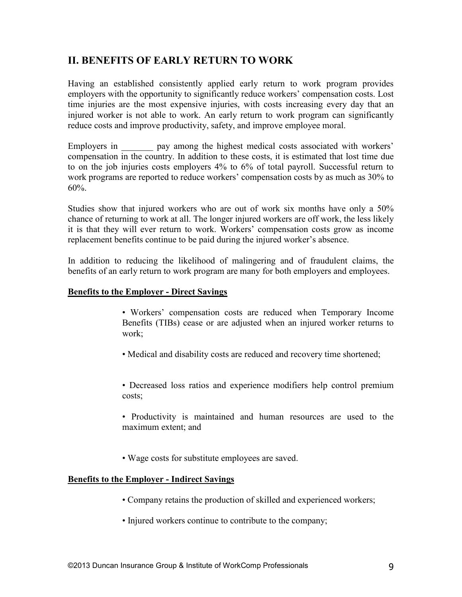## **II. BENEFITS OF EARLY RETURN TO WORK**

Having an established consistently applied early return to work program provides employers with the opportunity to significantly reduce workers' compensation costs. Lost time injuries are the most expensive injuries, with costs increasing every day that an injured worker is not able to work. An early return to work program can significantly reduce costs and improve productivity, safety, and improve employee moral.

Employers in \_\_\_\_\_\_\_ pay among the highest medical costs associated with workers' compensation in the country. In addition to these costs, it is estimated that lost time due to on the job injuries costs employers 4% to 6% of total payroll. Successful return to work programs are reported to reduce workers' compensation costs by as much as 30% to 60%.

Studies show that injured workers who are out of work six months have only a 50% chance of returning to work at all. The longer injured workers are off work, the less likely it is that they will ever return to work. Workers' compensation costs grow as income replacement benefits continue to be paid during the injured worker's absence.

In addition to reducing the likelihood of malingering and of fraudulent claims, the benefits of an early return to work program are many for both employers and employees.

#### **Benefits to the Employer - Direct Savings**

• Workers' compensation costs are reduced when Temporary Income Benefits (TIBs) cease or are adjusted when an injured worker returns to work;

- Medical and disability costs are reduced and recovery time shortened;
- Decreased loss ratios and experience modifiers help control premium costs;
- Productivity is maintained and human resources are used to the maximum extent; and
- Wage costs for substitute employees are saved.

#### **Benefits to the Employer - Indirect Savings**

- Company retains the production of skilled and experienced workers;
- Injured workers continue to contribute to the company;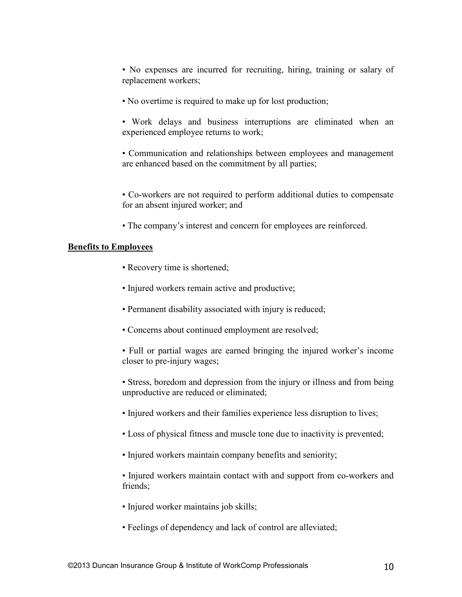• No expenses are incurred for recruiting, hiring, training or salary of replacement workers;

• No overtime is required to make up for lost production;

• Work delays and business interruptions are eliminated when an experienced employee returns to work;

• Communication and relationships between employees and management are enhanced based on the commitment by all parties;

• Co-workers are not required to perform additional duties to compensate for an absent injured worker; and

• The company's interest and concern for employees are reinforced.

#### **Benefits to Employees**

- Recovery time is shortened;
- Injured workers remain active and productive;
- Permanent disability associated with injury is reduced;
- Concerns about continued employment are resolved;

• Full or partial wages are earned bringing the injured worker's income closer to pre-injury wages;

• Stress, boredom and depression from the injury or illness and from being unproductive are reduced or eliminated;

- Injured workers and their families experience less disruption to lives;
- Loss of physical fitness and muscle tone due to inactivity is prevented;
- Injured workers maintain company benefits and seniority;

• Injured workers maintain contact with and support from co-workers and friends;

- Injured worker maintains job skills;
- Feelings of dependency and lack of control are alleviated;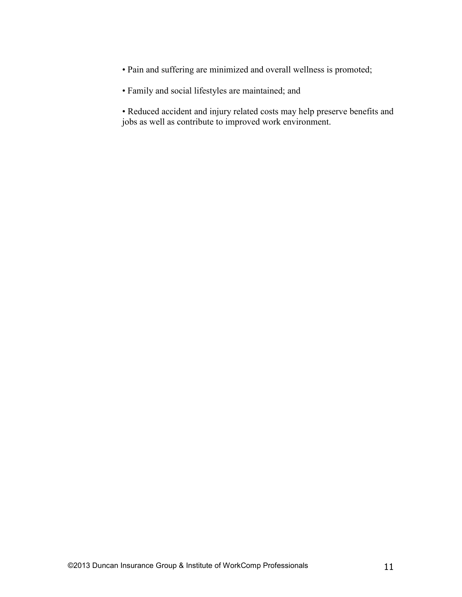- Pain and suffering are minimized and overall wellness is promoted;
- Family and social lifestyles are maintained; and

• Reduced accident and injury related costs may help preserve benefits and jobs as well as contribute to improved work environment.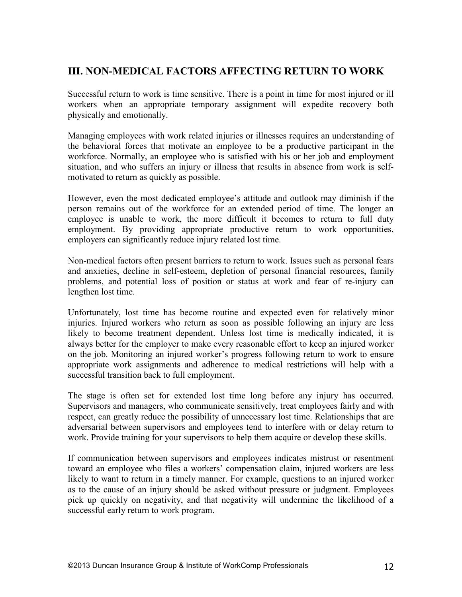## **III. NON-MEDICAL FACTORS AFFECTING RETURN TO WORK**

Successful return to work is time sensitive. There is a point in time for most injured or ill workers when an appropriate temporary assignment will expedite recovery both physically and emotionally.

Managing employees with work related injuries or illnesses requires an understanding of the behavioral forces that motivate an employee to be a productive participant in the workforce. Normally, an employee who is satisfied with his or her job and employment situation, and who suffers an injury or illness that results in absence from work is selfmotivated to return as quickly as possible.

However, even the most dedicated employee's attitude and outlook may diminish if the person remains out of the workforce for an extended period of time. The longer an employee is unable to work, the more difficult it becomes to return to full duty employment. By providing appropriate productive return to work opportunities, employers can significantly reduce injury related lost time.

Non-medical factors often present barriers to return to work. Issues such as personal fears and anxieties, decline in self-esteem, depletion of personal financial resources, family problems, and potential loss of position or status at work and fear of re-injury can lengthen lost time.

Unfortunately, lost time has become routine and expected even for relatively minor injuries. Injured workers who return as soon as possible following an injury are less likely to become treatment dependent. Unless lost time is medically indicated, it is always better for the employer to make every reasonable effort to keep an injured worker on the job. Monitoring an injured worker's progress following return to work to ensure appropriate work assignments and adherence to medical restrictions will help with a successful transition back to full employment.

The stage is often set for extended lost time long before any injury has occurred. Supervisors and managers, who communicate sensitively, treat employees fairly and with respect, can greatly reduce the possibility of unnecessary lost time. Relationships that are adversarial between supervisors and employees tend to interfere with or delay return to work. Provide training for your supervisors to help them acquire or develop these skills.

If communication between supervisors and employees indicates mistrust or resentment toward an employee who files a workers' compensation claim, injured workers are less likely to want to return in a timely manner. For example, questions to an injured worker as to the cause of an injury should be asked without pressure or judgment. Employees pick up quickly on negativity, and that negativity will undermine the likelihood of a successful early return to work program.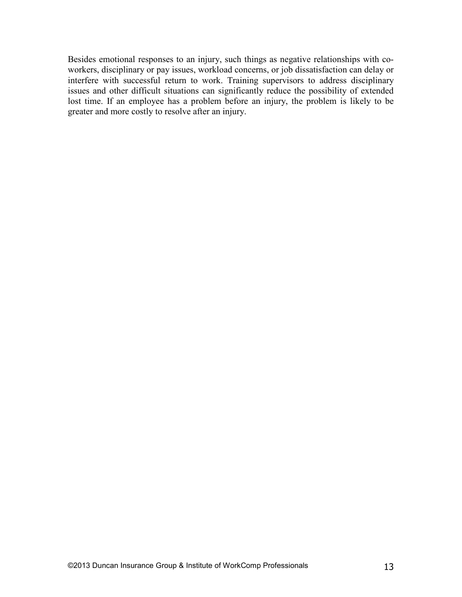Besides emotional responses to an injury, such things as negative relationships with coworkers, disciplinary or pay issues, workload concerns, or job dissatisfaction can delay or interfere with successful return to work. Training supervisors to address disciplinary issues and other difficult situations can significantly reduce the possibility of extended lost time. If an employee has a problem before an injury, the problem is likely to be greater and more costly to resolve after an injury.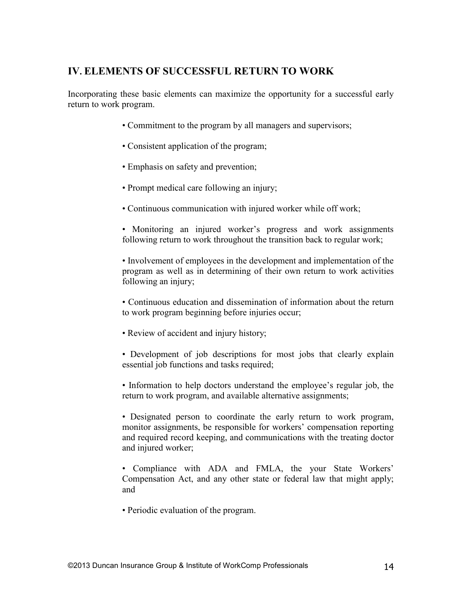## **IV. ELEMENTS OF SUCCESSFUL RETURN TO WORK**

Incorporating these basic elements can maximize the opportunity for a successful early return to work program.

- Commitment to the program by all managers and supervisors;
- Consistent application of the program;
- Emphasis on safety and prevention;
- Prompt medical care following an injury;
- Continuous communication with injured worker while off work;

• Monitoring an injured worker's progress and work assignments following return to work throughout the transition back to regular work;

• Involvement of employees in the development and implementation of the program as well as in determining of their own return to work activities following an injury;

• Continuous education and dissemination of information about the return to work program beginning before injuries occur;

• Review of accident and injury history;

• Development of job descriptions for most jobs that clearly explain essential job functions and tasks required;

• Information to help doctors understand the employee's regular job, the return to work program, and available alternative assignments;

• Designated person to coordinate the early return to work program, monitor assignments, be responsible for workers' compensation reporting and required record keeping, and communications with the treating doctor and injured worker;

• Compliance with ADA and FMLA, the your State Workers' Compensation Act, and any other state or federal law that might apply; and

• Periodic evaluation of the program.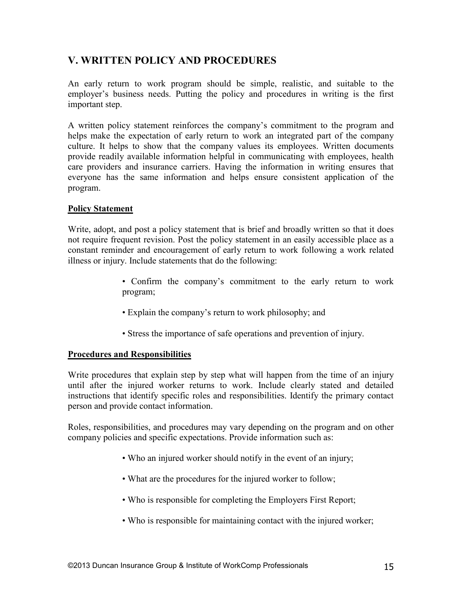## **V. WRITTEN POLICY AND PROCEDURES**

An early return to work program should be simple, realistic, and suitable to the employer's business needs. Putting the policy and procedures in writing is the first important step.

A written policy statement reinforces the company's commitment to the program and helps make the expectation of early return to work an integrated part of the company culture. It helps to show that the company values its employees. Written documents provide readily available information helpful in communicating with employees, health care providers and insurance carriers. Having the information in writing ensures that everyone has the same information and helps ensure consistent application of the program.

#### **Policy Statement**

Write, adopt, and post a policy statement that is brief and broadly written so that it does not require frequent revision. Post the policy statement in an easily accessible place as a constant reminder and encouragement of early return to work following a work related illness or injury. Include statements that do the following:

- Confirm the company's commitment to the early return to work program;
- Explain the company's return to work philosophy; and
- Stress the importance of safe operations and prevention of injury.

#### **Procedures and Responsibilities**

Write procedures that explain step by step what will happen from the time of an injury until after the injured worker returns to work. Include clearly stated and detailed instructions that identify specific roles and responsibilities. Identify the primary contact person and provide contact information.

Roles, responsibilities, and procedures may vary depending on the program and on other company policies and specific expectations. Provide information such as:

- Who an injured worker should notify in the event of an injury;
- What are the procedures for the injured worker to follow;
- Who is responsible for completing the Employers First Report;
- Who is responsible for maintaining contact with the injured worker;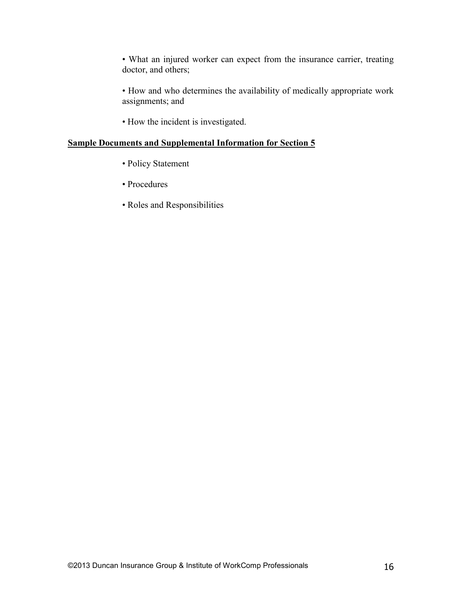• What an injured worker can expect from the insurance carrier, treating doctor, and others;

• How and who determines the availability of medically appropriate work assignments; and

• How the incident is investigated.

#### **Sample Documents and Supplemental Information for Section 5**

- Policy Statement
- Procedures
- Roles and Responsibilities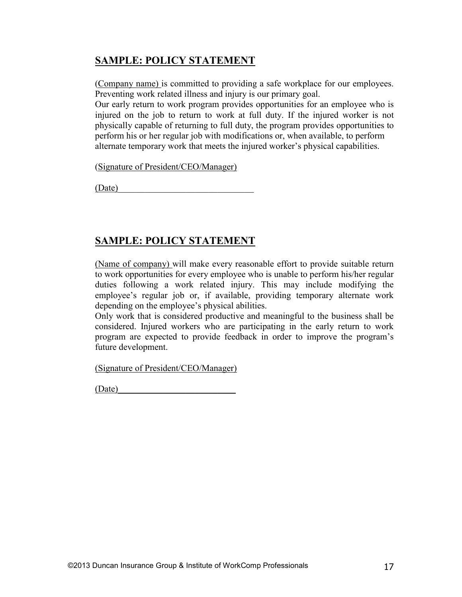## **SAMPLE: POLICY STATEMENT**

(Company name) is committed to providing a safe workplace for our employees. Preventing work related illness and injury is our primary goal.

Our early return to work program provides opportunities for an employee who is injured on the job to return to work at full duty. If the injured worker is not physically capable of returning to full duty, the program provides opportunities to perform his or her regular job with modifications or, when available, to perform alternate temporary work that meets the injured worker's physical capabilities.

(Signature of President/CEO/Manager)

 $(Date)$ 

## **SAMPLE: POLICY STATEMENT**

(Name of company) will make every reasonable effort to provide suitable return to work opportunities for every employee who is unable to perform his/her regular duties following a work related injury. This may include modifying the employee's regular job or, if available, providing temporary alternate work depending on the employee's physical abilities.

Only work that is considered productive and meaningful to the business shall be considered. Injured workers who are participating in the early return to work program are expected to provide feedback in order to improve the program's future development.

(Signature of President/CEO/Manager)

 $(Date)$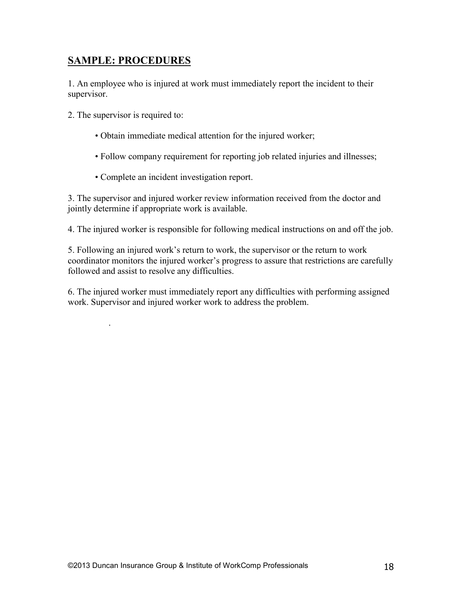# **SAMPLE: PROCEDURES**

1. An employee who is injured at work must immediately report the incident to their supervisor.

2. The supervisor is required to:

.

- Obtain immediate medical attention for the injured worker;
- Follow company requirement for reporting job related injuries and illnesses;
- Complete an incident investigation report.

3. The supervisor and injured worker review information received from the doctor and jointly determine if appropriate work is available.

4. The injured worker is responsible for following medical instructions on and off the job.

5. Following an injured work's return to work, the supervisor or the return to work coordinator monitors the injured worker's progress to assure that restrictions are carefully followed and assist to resolve any difficulties.

6. The injured worker must immediately report any difficulties with performing assigned work. Supervisor and injured worker work to address the problem.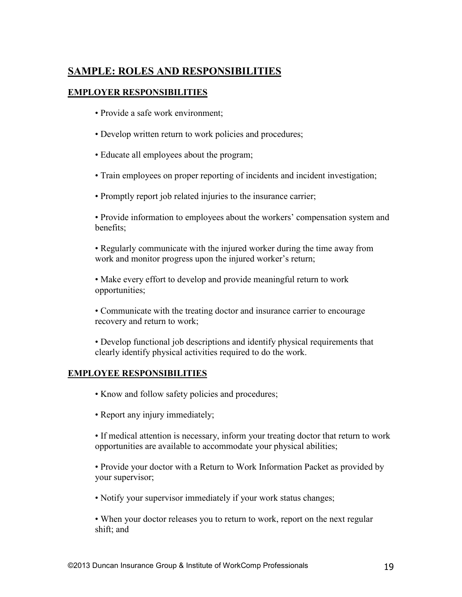# **SAMPLE: ROLES AND RESPONSIBILITIES**

#### **EMPLOYER RESPONSIBILITIES**

- Provide a safe work environment;
- Develop written return to work policies and procedures;
- Educate all employees about the program;
- Train employees on proper reporting of incidents and incident investigation;
- Promptly report job related injuries to the insurance carrier;

• Provide information to employees about the workers' compensation system and benefits;

• Regularly communicate with the injured worker during the time away from work and monitor progress upon the injured worker's return;

• Make every effort to develop and provide meaningful return to work opportunities;

• Communicate with the treating doctor and insurance carrier to encourage recovery and return to work;

• Develop functional job descriptions and identify physical requirements that clearly identify physical activities required to do the work.

#### **EMPLOYEE RESPONSIBILITIES**

• Know and follow safety policies and procedures;

• Report any injury immediately;

• If medical attention is necessary, inform your treating doctor that return to work opportunities are available to accommodate your physical abilities;

• Provide your doctor with a Return to Work Information Packet as provided by your supervisor;

• Notify your supervisor immediately if your work status changes;

• When your doctor releases you to return to work, report on the next regular shift; and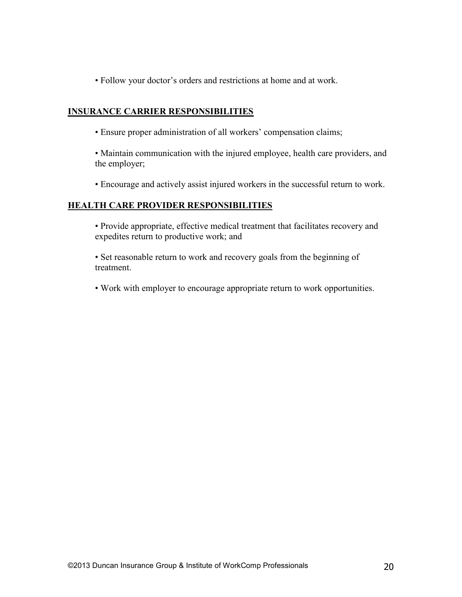• Follow your doctor's orders and restrictions at home and at work.

#### **INSURANCE CARRIER RESPONSIBILITIES**

• Ensure proper administration of all workers' compensation claims;

• Maintain communication with the injured employee, health care providers, and the employer;

• Encourage and actively assist injured workers in the successful return to work.

#### **HEALTH CARE PROVIDER RESPONSIBILITIES**

• Provide appropriate, effective medical treatment that facilitates recovery and expedites return to productive work; and

• Set reasonable return to work and recovery goals from the beginning of treatment.

• Work with employer to encourage appropriate return to work opportunities.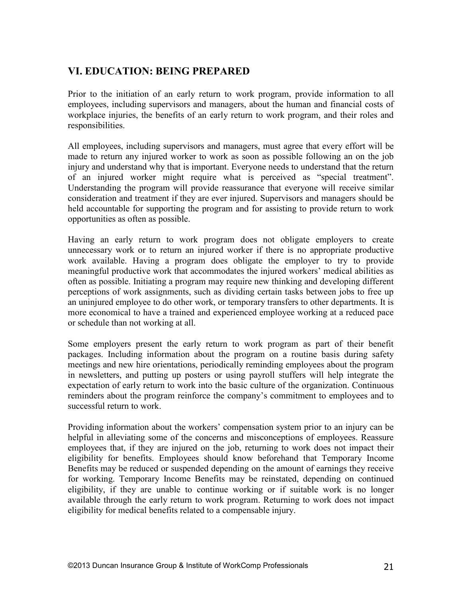# **VI. EDUCATION: BEING PREPARED**

Prior to the initiation of an early return to work program, provide information to all employees, including supervisors and managers, about the human and financial costs of workplace injuries, the benefits of an early return to work program, and their roles and responsibilities.

All employees, including supervisors and managers, must agree that every effort will be made to return any injured worker to work as soon as possible following an on the job injury and understand why that is important. Everyone needs to understand that the return of an injured worker might require what is perceived as "special treatment". Understanding the program will provide reassurance that everyone will receive similar consideration and treatment if they are ever injured. Supervisors and managers should be held accountable for supporting the program and for assisting to provide return to work opportunities as often as possible.

Having an early return to work program does not obligate employers to create unnecessary work or to return an injured worker if there is no appropriate productive work available. Having a program does obligate the employer to try to provide meaningful productive work that accommodates the injured workers' medical abilities as often as possible. Initiating a program may require new thinking and developing different perceptions of work assignments, such as dividing certain tasks between jobs to free up an uninjured employee to do other work, or temporary transfers to other departments. It is more economical to have a trained and experienced employee working at a reduced pace or schedule than not working at all.

Some employers present the early return to work program as part of their benefit packages. Including information about the program on a routine basis during safety meetings and new hire orientations, periodically reminding employees about the program in newsletters, and putting up posters or using payroll stuffers will help integrate the expectation of early return to work into the basic culture of the organization. Continuous reminders about the program reinforce the company's commitment to employees and to successful return to work.

Providing information about the workers' compensation system prior to an injury can be helpful in alleviating some of the concerns and misconceptions of employees. Reassure employees that, if they are injured on the job, returning to work does not impact their eligibility for benefits. Employees should know beforehand that Temporary Income Benefits may be reduced or suspended depending on the amount of earnings they receive for working. Temporary Income Benefits may be reinstated, depending on continued eligibility, if they are unable to continue working or if suitable work is no longer available through the early return to work program. Returning to work does not impact eligibility for medical benefits related to a compensable injury.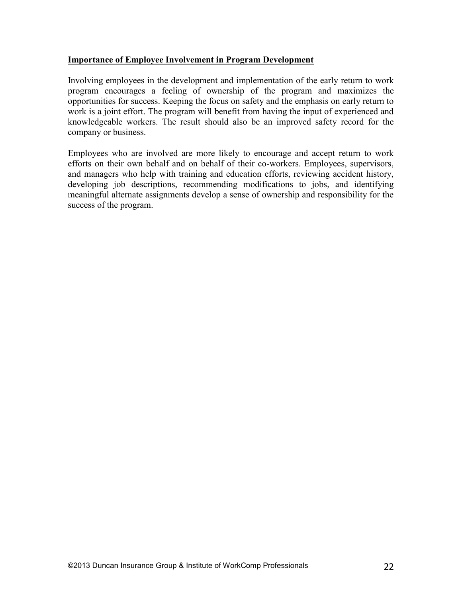#### **Importance of Employee Involvement in Program Development**

Involving employees in the development and implementation of the early return to work program encourages a feeling of ownership of the program and maximizes the opportunities for success. Keeping the focus on safety and the emphasis on early return to work is a joint effort. The program will benefit from having the input of experienced and knowledgeable workers. The result should also be an improved safety record for the company or business.

Employees who are involved are more likely to encourage and accept return to work efforts on their own behalf and on behalf of their co-workers. Employees, supervisors, and managers who help with training and education efforts, reviewing accident history, developing job descriptions, recommending modifications to jobs, and identifying meaningful alternate assignments develop a sense of ownership and responsibility for the success of the program.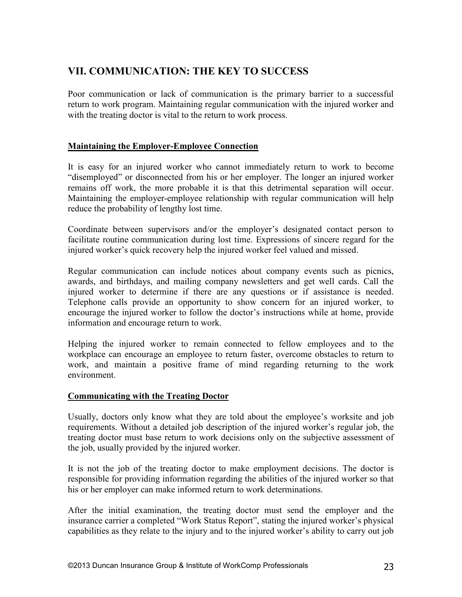# **VII. COMMUNICATION: THE KEY TO SUCCESS**

Poor communication or lack of communication is the primary barrier to a successful return to work program. Maintaining regular communication with the injured worker and with the treating doctor is vital to the return to work process.

#### **Maintaining the Employer-Employee Connection**

It is easy for an injured worker who cannot immediately return to work to become "disemployed" or disconnected from his or her employer. The longer an injured worker remains off work, the more probable it is that this detrimental separation will occur. Maintaining the employer-employee relationship with regular communication will help reduce the probability of lengthy lost time.

Coordinate between supervisors and/or the employer's designated contact person to facilitate routine communication during lost time. Expressions of sincere regard for the injured worker's quick recovery help the injured worker feel valued and missed.

Regular communication can include notices about company events such as picnics, awards, and birthdays, and mailing company newsletters and get well cards. Call the injured worker to determine if there are any questions or if assistance is needed. Telephone calls provide an opportunity to show concern for an injured worker, to encourage the injured worker to follow the doctor's instructions while at home, provide information and encourage return to work.

Helping the injured worker to remain connected to fellow employees and to the workplace can encourage an employee to return faster, overcome obstacles to return to work, and maintain a positive frame of mind regarding returning to the work environment.

#### **Communicating with the Treating Doctor**

Usually, doctors only know what they are told about the employee's worksite and job requirements. Without a detailed job description of the injured worker's regular job, the treating doctor must base return to work decisions only on the subjective assessment of the job, usually provided by the injured worker.

It is not the job of the treating doctor to make employment decisions. The doctor is responsible for providing information regarding the abilities of the injured worker so that his or her employer can make informed return to work determinations.

After the initial examination, the treating doctor must send the employer and the insurance carrier a completed "Work Status Report", stating the injured worker's physical capabilities as they relate to the injury and to the injured worker's ability to carry out job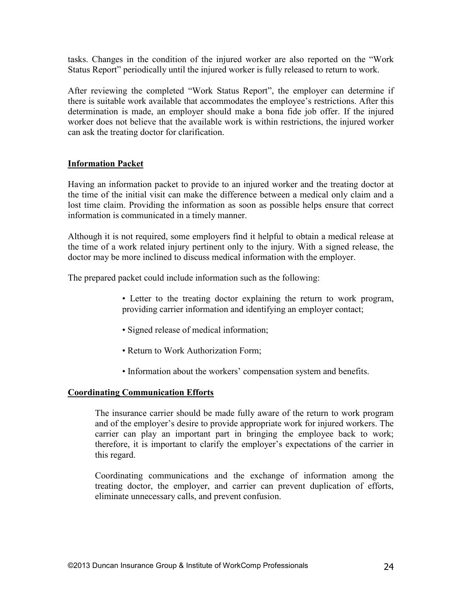tasks. Changes in the condition of the injured worker are also reported on the "Work Status Report" periodically until the injured worker is fully released to return to work.

After reviewing the completed "Work Status Report", the employer can determine if there is suitable work available that accommodates the employee's restrictions. After this determination is made, an employer should make a bona fide job offer. If the injured worker does not believe that the available work is within restrictions, the injured worker can ask the treating doctor for clarification.

#### **Information Packet**

Having an information packet to provide to an injured worker and the treating doctor at the time of the initial visit can make the difference between a medical only claim and a lost time claim. Providing the information as soon as possible helps ensure that correct information is communicated in a timely manner.

Although it is not required, some employers find it helpful to obtain a medical release at the time of a work related injury pertinent only to the injury. With a signed release, the doctor may be more inclined to discuss medical information with the employer.

The prepared packet could include information such as the following:

- Letter to the treating doctor explaining the return to work program, providing carrier information and identifying an employer contact;
- Signed release of medical information;
- Return to Work Authorization Form;
- Information about the workers' compensation system and benefits.

#### **Coordinating Communication Efforts**

The insurance carrier should be made fully aware of the return to work program and of the employer's desire to provide appropriate work for injured workers. The carrier can play an important part in bringing the employee back to work; therefore, it is important to clarify the employer's expectations of the carrier in this regard.

Coordinating communications and the exchange of information among the treating doctor, the employer, and carrier can prevent duplication of efforts, eliminate unnecessary calls, and prevent confusion.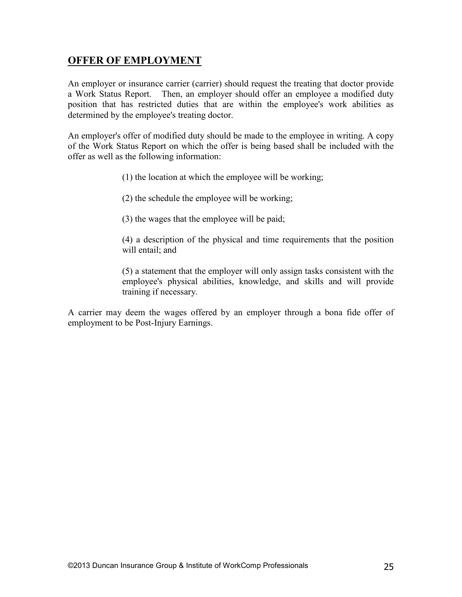## **OFFER OF EMPLOYMENT**

An employer or insurance carrier (carrier) should request the treating that doctor provide a Work Status Report. Then, an employer should offer an employee a modified duty position that has restricted duties that are within the employee's work abilities as determined by the employee's treating doctor.

An employer's offer of modified duty should be made to the employee in writing. A copy of the Work Status Report on which the offer is being based shall be included with the offer as well as the following information:

- (1) the location at which the employee will be working;
- (2) the schedule the employee will be working;
- (3) the wages that the employee will be paid;
- (4) a description of the physical and time requirements that the position will entail; and

(5) a statement that the employer will only assign tasks consistent with the employee's physical abilities, knowledge, and skills and will provide training if necessary.

A carrier may deem the wages offered by an employer through a bona fide offer of employment to be Post-Injury Earnings.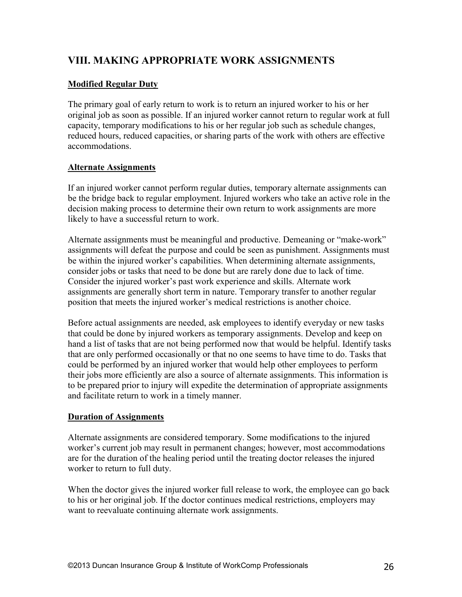# **VIII. MAKING APPROPRIATE WORK ASSIGNMENTS**

#### **Modified Regular Duty**

The primary goal of early return to work is to return an injured worker to his or her original job as soon as possible. If an injured worker cannot return to regular work at full capacity, temporary modifications to his or her regular job such as schedule changes, reduced hours, reduced capacities, or sharing parts of the work with others are effective accommodations.

#### **Alternate Assignments**

If an injured worker cannot perform regular duties, temporary alternate assignments can be the bridge back to regular employment. Injured workers who take an active role in the decision making process to determine their own return to work assignments are more likely to have a successful return to work.

Alternate assignments must be meaningful and productive. Demeaning or "make-work" assignments will defeat the purpose and could be seen as punishment. Assignments must be within the injured worker's capabilities. When determining alternate assignments, consider jobs or tasks that need to be done but are rarely done due to lack of time. Consider the injured worker's past work experience and skills. Alternate work assignments are generally short term in nature. Temporary transfer to another regular position that meets the injured worker's medical restrictions is another choice.

Before actual assignments are needed, ask employees to identify everyday or new tasks that could be done by injured workers as temporary assignments. Develop and keep on hand a list of tasks that are not being performed now that would be helpful. Identify tasks that are only performed occasionally or that no one seems to have time to do. Tasks that could be performed by an injured worker that would help other employees to perform their jobs more efficiently are also a source of alternate assignments. This information is to be prepared prior to injury will expedite the determination of appropriate assignments and facilitate return to work in a timely manner.

#### **Duration of Assignments**

Alternate assignments are considered temporary. Some modifications to the injured worker's current job may result in permanent changes; however, most accommodations are for the duration of the healing period until the treating doctor releases the injured worker to return to full duty.

When the doctor gives the injured worker full release to work, the employee can go back to his or her original job. If the doctor continues medical restrictions, employers may want to reevaluate continuing alternate work assignments.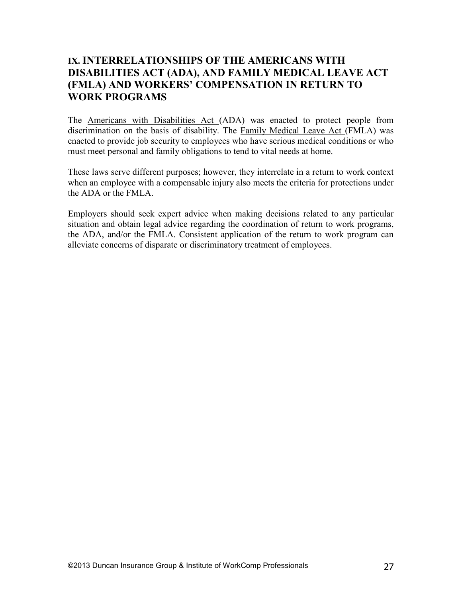## **IX. INTERRELATIONSHIPS OF THE AMERICANS WITH DISABILITIES ACT (ADA), AND FAMILY MEDICAL LEAVE ACT (FMLA) AND WORKERS' COMPENSATION IN RETURN TO WORK PROGRAMS**

The Americans with Disabilities Act (ADA) was enacted to protect people from discrimination on the basis of disability. The Family Medical Leave Act (FMLA) was enacted to provide job security to employees who have serious medical conditions or who must meet personal and family obligations to tend to vital needs at home.

These laws serve different purposes; however, they interrelate in a return to work context when an employee with a compensable injury also meets the criteria for protections under the ADA or the FMLA.

Employers should seek expert advice when making decisions related to any particular situation and obtain legal advice regarding the coordination of return to work programs, the ADA, and/or the FMLA. Consistent application of the return to work program can alleviate concerns of disparate or discriminatory treatment of employees.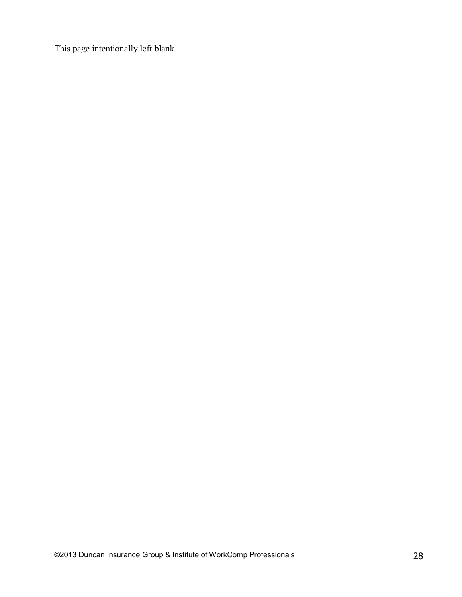This page intentionally left blank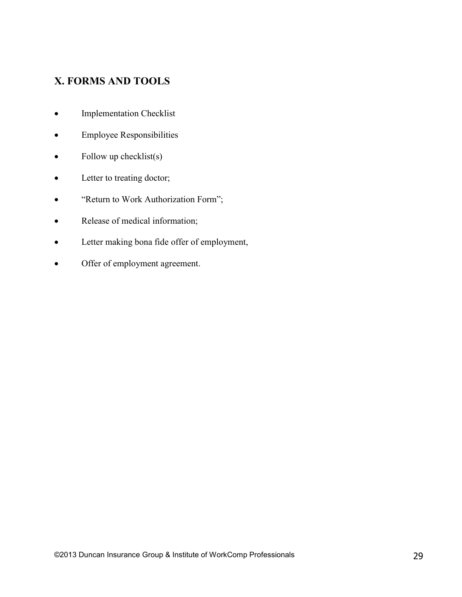# **X. FORMS AND TOOLS**

- · Implementation Checklist
- · Employee Responsibilities
- $\bullet$  Follow up checklist(s)
- Letter to treating doctor;
- "Return to Work Authorization Form";
- · Release of medical information;
- · Letter making bona fide offer of employment,
- · Offer of employment agreement.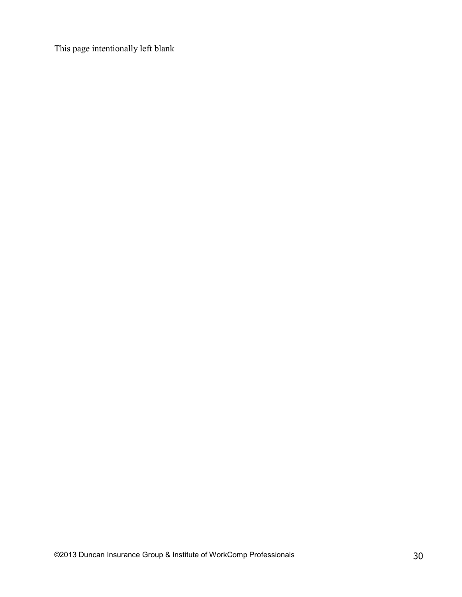This page intentionally left blank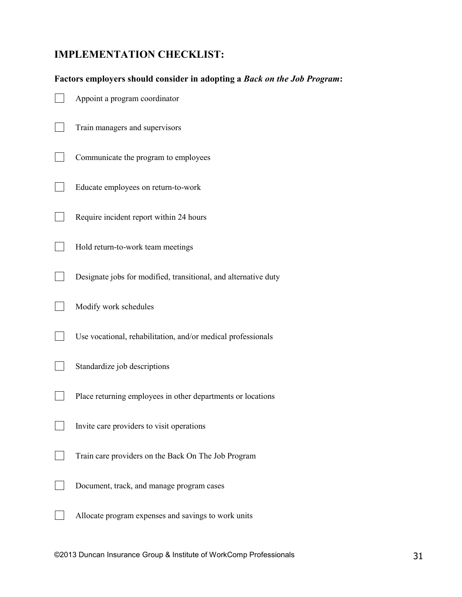## **IMPLEMENTATION CHECKLIST:**

#### **Factors employers should consider in adopting a** *Back on the Job Program***:**

- $\perp$ Appoint a program coordinator
- $\Box$ Train managers and supervisors
- $\Box$ Communicate the program to employees
- $\Box$ Educate employees on return-to-work
- $\Box$ Require incident report within 24 hours
- $\Box$ Hold return-to-work team meetings
- $\Box$ Designate jobs for modified, transitional, and alternative duty
- $\Box$ Modify work schedules
- $\Box$ Use vocational, rehabilitation, and/or medical professionals
- $\Box$ Standardize job descriptions
- $\Box$ Place returning employees in other departments or locations
- $\Box$ Invite care providers to visit operations
- $\Box$ Train care providers on the Back On The Job Program
- $\Box$ Document, track, and manage program cases
- Allocate program expenses and savings to work units $\Box$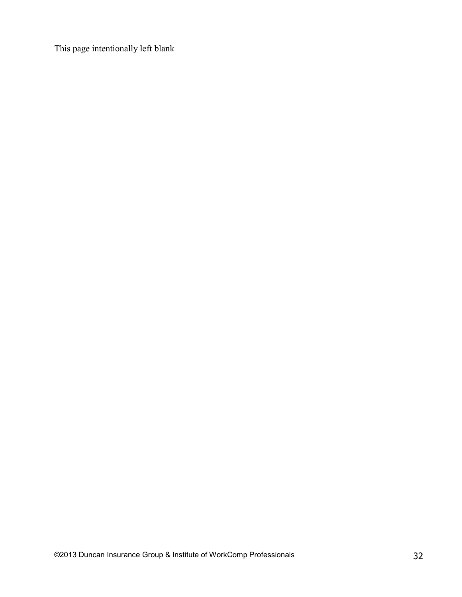This page intentionally left blank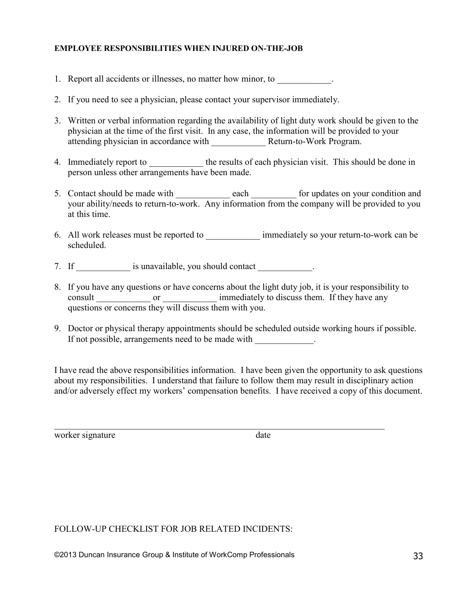#### **EMPLOYEE RESPONSIBILITIES WHEN INJURED ON-THE-JOB**

- 1. Report all accidents or illnesses, no matter how minor, to
- 2. If you need to see a physician, please contact your supervisor immediately.
- 3. Written or verbal information regarding the availability of light duty work should be given to the physician at the time of the first visit. In any case, the information will be provided to your attending physician in accordance with **Return-to-Work Program.**
- 4. Immediately report to \_\_\_\_\_\_\_\_\_\_\_\_\_ the results of each physician visit. This should be done in person unless other arrangements have been made.
- 5. Contact should be made with each each each for updates on your condition and your ability/needs to return-to-work. Any information from the company will be provided to you at this time.
- 6. All work releases must be reported to \_\_\_\_\_\_\_\_\_\_\_\_ immediately so your return-to-work can be scheduled.
- 7. If is unavailable, you should contact the same is unavailable, you should contact
- 8. If you have any questions or have concerns about the light duty job, it is your responsibility to consult \_\_\_\_\_\_\_\_\_\_\_\_ or \_\_\_\_\_\_\_\_\_\_\_ immediately to discuss them. If they have any questions or concerns they will discuss them with you.
- 9. Doctor or physical therapy appointments should be scheduled outside working hours if possible. If not possible, arrangements need to be made with

I have read the above responsibilities information. I have been given the opportunity to ask questions about my responsibilities. I understand that failure to follow them may result in disciplinary action and/or adversely effect my workers' compensation benefits. I have received a copy of this document.

 $\mathcal{L}_\mathcal{L} = \{ \mathcal{L}_\mathcal{L} = \{ \mathcal{L}_\mathcal{L} = \{ \mathcal{L}_\mathcal{L} = \{ \mathcal{L}_\mathcal{L} = \{ \mathcal{L}_\mathcal{L} = \{ \mathcal{L}_\mathcal{L} = \{ \mathcal{L}_\mathcal{L} = \{ \mathcal{L}_\mathcal{L} = \{ \mathcal{L}_\mathcal{L} = \{ \mathcal{L}_\mathcal{L} = \{ \mathcal{L}_\mathcal{L} = \{ \mathcal{L}_\mathcal{L} = \{ \mathcal{L}_\mathcal{L} = \{ \mathcal{L}_\mathcal{$ 

worker signature date

FOLLOW-UP CHECKLIST FOR JOB RELATED INCIDENTS:

©2013 Duncan Insurance Group & Institute of WorkComp Professionals 33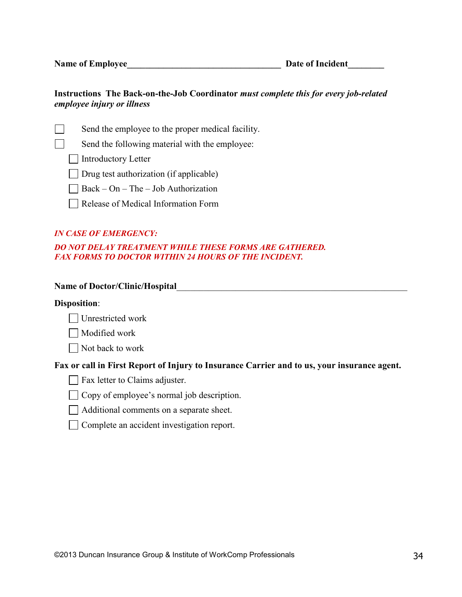#### **Instructions****The Back-on-the-Job Coordinator** *must complete this for every job-related employee injury or illness*

 $\Box$ Send the employee to the proper medical facility.

 $\Box$ Send the following material with the employee:

**Introductory Letter** 

 $\Box$  Drug test authorization (if applicable)

 $\Box$  Back – On – The – Job Authorization

Release of Medical Information Form

#### *IN CASE OF EMERGENCY:*

#### *DO NOT DELAY TREATMENT WHILE THESE FORMS ARE GATHERED. FAX FORMS TO DOCTOR WITHIN 24 HOURS OF THE INCIDENT.*

#### **Name of Doctor/Clinic/Hospital**\_\_\_\_\_\_\_\_\_\_\_\_\_\_\_\_\_\_\_\_\_\_\_\_\_\_\_\_\_\_\_\_\_\_\_\_\_\_\_\_\_\_\_\_\_\_\_\_\_\_\_

#### **Disposition**:

Modified work

 $\Box$  Not back to work

#### **Fax or call in First Report of Injury to Insurance Carrier and to us, your insurance agent.**

**Fax letter to Claims adjuster.** 

 $\Box$  Copy of employee's normal job description.

Additional comments on a separate sheet.

Complete an accident investigation report.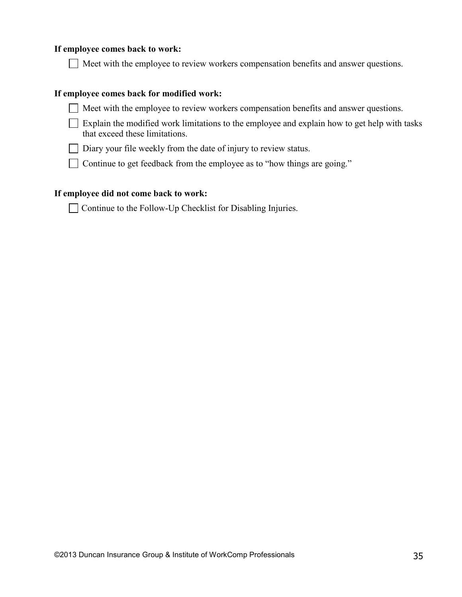#### **If employee comes back to work:**

Meet with the employee to review workers compensation benefits and answer questions.

#### **If employee comes back for modified work:**

- Meet with the employee to review workers compensation benefits and answer questions.
- $\Box$  Explain the modified work limitations to the employee and explain how to get help with tasks that exceed these limitations.

Diary your file weekly from the date of injury to review status.

 $\Box$  Continue to get feedback from the employee as to "how things are going."

#### **If employee did not come back to work:**

□ Continue to the Follow-Up Checklist for Disabling Injuries.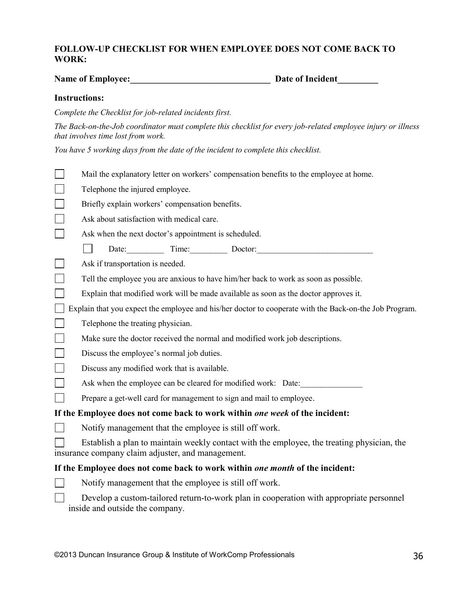#### **FOLLOW-UP CHECKLIST FOR WHEN EMPLOYEE DOES NOT COME BACK TO WORK:**

#### Name of Employee: Date of Incident

#### **Instructions:**

*Complete the Checklist for job-related incidents first.* 

*The Back-on-the-Job coordinator must complete this checklist for every job-related employee injury or illness that involves time lost from work.* 

*You have 5 working days from the date of the incident to complete this checklist.* 

| Mail the explanatory letter on workers' compensation benefits to the employee at home.                                                          |
|-------------------------------------------------------------------------------------------------------------------------------------------------|
| Telephone the injured employee.                                                                                                                 |
| Briefly explain workers' compensation benefits.                                                                                                 |
| Ask about satisfaction with medical care.                                                                                                       |
| Ask when the next doctor's appointment is scheduled.                                                                                            |
|                                                                                                                                                 |
| Ask if transportation is needed.                                                                                                                |
| Tell the employee you are anxious to have him/her back to work as soon as possible.                                                             |
| Explain that modified work will be made available as soon as the doctor approves it.                                                            |
| Explain that you expect the employee and his/her doctor to cooperate with the Back-on-the Job Program.                                          |
| Telephone the treating physician.                                                                                                               |
| Make sure the doctor received the normal and modified work job descriptions.                                                                    |
| Discuss the employee's normal job duties.                                                                                                       |
| Discuss any modified work that is available.                                                                                                    |
| Ask when the employee can be cleared for modified work: Date:                                                                                   |
| Prepare a get-well card for management to sign and mail to employee.                                                                            |
| If the Employee does not come back to work within one week of the incident:                                                                     |
| Notify management that the employee is still off work.                                                                                          |
| Establish a plan to maintain weekly contact with the employee, the treating physician, the<br>insurance company claim adjuster, and management. |
| If the Employee does not come back to work within one month of the incident:                                                                    |
| Notify management that the employee is still off work.                                                                                          |
| Develop a custom-tailored return-to-work plan in cooperation with appropriate personnel<br>inside and outside the company.                      |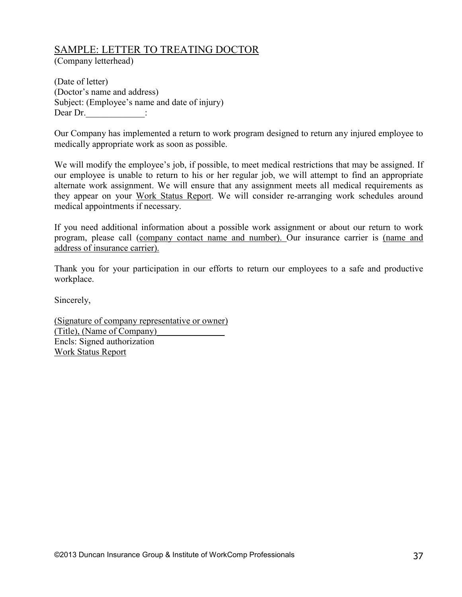# SAMPLE: LETTER TO TREATING DOCTOR

(Company letterhead)

(Date of letter) (Doctor's name and address) Subject: (Employee's name and date of injury) Dear Dr. \_\_\_\_\_\_\_\_\_\_\_\_\_\_\_:

Our Company has implemented a return to work program designed to return any injured employee to medically appropriate work as soon as possible.

We will modify the employee's job, if possible, to meet medical restrictions that may be assigned. If our employee is unable to return to his or her regular job, we will attempt to find an appropriate alternate work assignment. We will ensure that any assignment meets all medical requirements as they appear on your Work Status Report. We will consider re-arranging work schedules around medical appointments if necessary.

If you need additional information about a possible work assignment or about our return to work program, please call (company contact name and number). Our insurance carrier is (name and address of insurance carrier).

Thank you for your participation in our efforts to return our employees to a safe and productive workplace.

Sincerely,

(Signature of company representative or owner) (Title), (Name of Company)\_\_\_\_\_\_\_\_\_\_\_\_\_\_\_ Encls: Signed authorization Work Status Report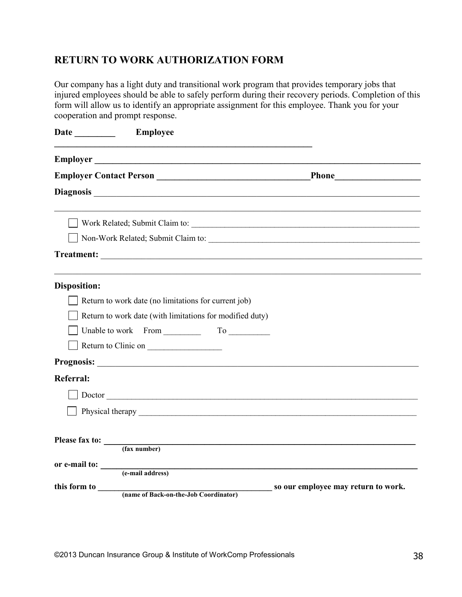# **RETURN TO WORK AUTHORIZATION FORM**

Our company has a light duty and transitional work program that provides temporary jobs that injured employees should be able to safely perform during their recovery periods. Completion of this form will allow us to identify an appropriate assignment for this employee. Thank you for your cooperation and prompt response.

| Date<br><b>Employee</b><br><u>a sa Barangara</u>         |                                     |
|----------------------------------------------------------|-------------------------------------|
|                                                          |                                     |
|                                                          |                                     |
|                                                          |                                     |
|                                                          |                                     |
|                                                          |                                     |
| Treatment:                                               |                                     |
| <b>Disposition:</b>                                      |                                     |
| Return to work date (no limitations for current job)     |                                     |
| Return to work date (with limitations for modified duty) |                                     |
| Unable to work From To                                   |                                     |
| Return to Clinic on                                      |                                     |
| Prognosis: New York Changes and Section 2014.            |                                     |
| <b>Referral:</b>                                         |                                     |
| Doctor <u>contains and the container</u>                 |                                     |
|                                                          |                                     |
| Please fax to:<br>(fax number)                           |                                     |
|                                                          |                                     |
|                                                          |                                     |
|                                                          | so our employee may return to work. |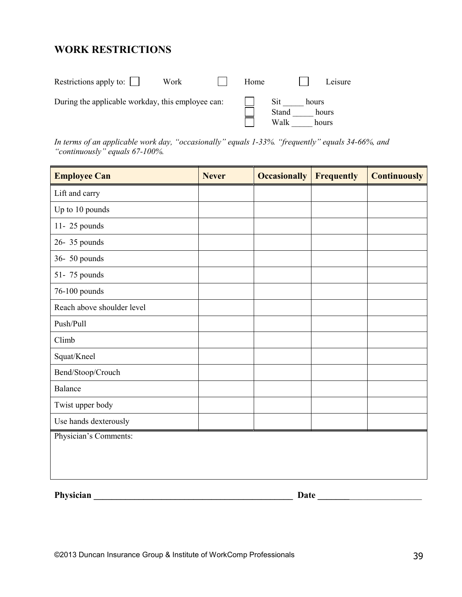## **WORK RESTRICTIONS**

| Restrictions apply to: $\Box$                     | Work | Home |               |       | Leisure        |
|---------------------------------------------------|------|------|---------------|-------|----------------|
| During the applicable workday, this employee can: |      |      | Stand<br>Walk | hours | hours<br>hours |

*In terms of an applicable work day, "occasionally" equals 1-33%. "frequently" equals 34-66%, and "continuously" equals 67-100%.* 

| <b>Employee Can</b>        | <b>Never</b> | <b>Occasionally</b> | <b>Frequently</b> | <b>Continuously</b> |
|----------------------------|--------------|---------------------|-------------------|---------------------|
| Lift and carry             |              |                     |                   |                     |
| Up to 10 pounds            |              |                     |                   |                     |
| 11- 25 pounds              |              |                     |                   |                     |
| 26-35 pounds               |              |                     |                   |                     |
| 36- 50 pounds              |              |                     |                   |                     |
| 51-75 pounds               |              |                     |                   |                     |
| 76-100 pounds              |              |                     |                   |                     |
| Reach above shoulder level |              |                     |                   |                     |
| Push/Pull                  |              |                     |                   |                     |
| Climb                      |              |                     |                   |                     |
| Squat/Kneel                |              |                     |                   |                     |
| Bend/Stoop/Crouch          |              |                     |                   |                     |
| <b>Balance</b>             |              |                     |                   |                     |
| Twist upper body           |              |                     |                   |                     |
| Use hands dexterously      |              |                     |                   |                     |
| Physician's Comments:      |              |                     |                   |                     |
|                            |              |                     |                   |                     |
|                            |              |                     |                   |                     |
| Physician                  |              | Date                |                   |                     |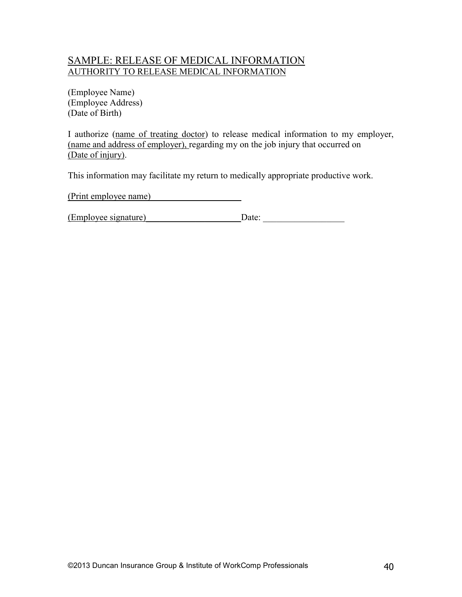#### SAMPLE: RELEASE OF MEDICAL INFORMATION AUTHORITY TO RELEASE MEDICAL INFORMATION

(Employee Name) (Employee Address) (Date of Birth)

I authorize (name of treating doctor) to release medical information to my employer, (name and address of employer), regarding my on the job injury that occurred on (Date of injury).

This information may facilitate my return to medically appropriate productive work.

(Print employee name)

|  |  |  |  | (Employee signature) |  | Date: |  |
|--|--|--|--|----------------------|--|-------|--|
|--|--|--|--|----------------------|--|-------|--|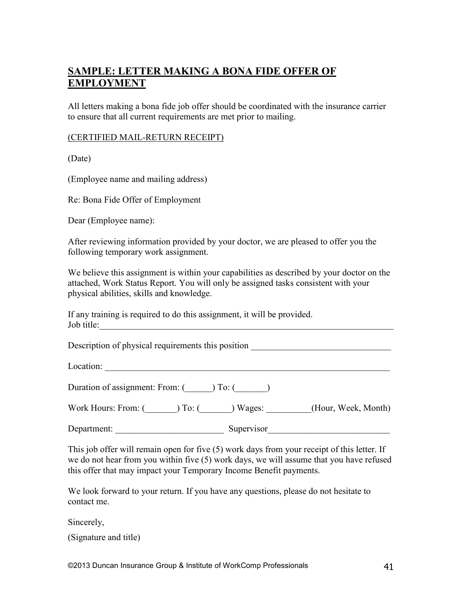# **SAMPLE: LETTER MAKING A BONA FIDE OFFER OF EMPLOYMENT**

All letters making a bona fide job offer should be coordinated with the insurance carrier to ensure that all current requirements are met prior to mailing.

#### (CERTIFIED MAIL-RETURN RECEIPT)

(Date)

(Employee name and mailing address)

Re: Bona Fide Offer of Employment

Dear (Employee name):

After reviewing information provided by your doctor, we are pleased to offer you the following temporary work assignment.

We believe this assignment is within your capabilities as described by your doctor on the attached, Work Status Report. You will only be assigned tasks consistent with your physical abilities, skills and knowledge.

If any training is required to do this assignment, it will be provided. Job title:

Description of physical requirements this position

Location:

Duration of assignment: From:  $($   $)$  To:  $($   $)$ 

Work Hours: From: (\_\_\_\_\_\_) To: (\_\_\_\_\_\_) Wages: \_\_\_\_\_\_\_\_(Hour, Week, Month)

Department: \_\_\_\_\_\_\_\_\_\_\_\_\_\_\_\_\_\_\_\_\_\_\_\_ Supervisor\_\_\_\_\_\_\_\_\_\_\_\_\_\_\_\_\_\_\_\_\_\_\_\_\_\_\_

This job offer will remain open for five (5) work days from your receipt of this letter. If we do not hear from you within five (5) work days, we will assume that you have refused this offer that may impact your Temporary Income Benefit payments.

We look forward to your return. If you have any questions, please do not hesitate to contact me.

Sincerely,

(Signature and title)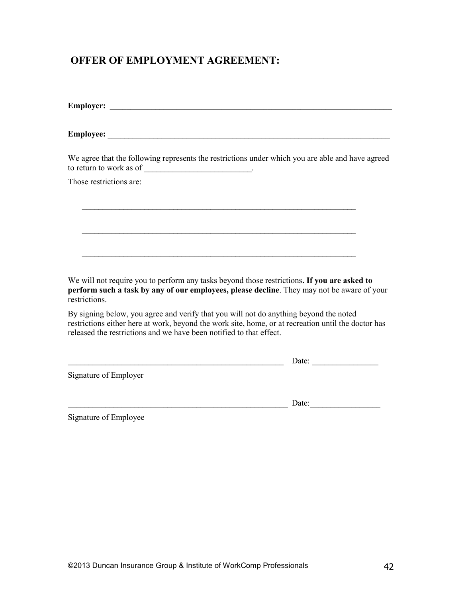# **OFFER OF EMPLOYMENT AGREEMENT:**

| We agree that the following represents the restrictions under which you are able and have agreed<br>to return to work as of $\frac{1}{\sqrt{1-\frac{1}{\sqrt{1-\frac{1}{\sqrt{1-\frac{1}{\sqrt{1-\frac{1}{\sqrt{1-\frac{1}{\sqrt{1-\frac{1}{\sqrt{1-\frac{1}{\sqrt{1-\frac{1}{\sqrt{1-\frac{1}{\sqrt{1-\frac{1}{\sqrt{1-\frac{1}{\sqrt{1-\frac{1}{\sqrt{1-\frac{1}{\sqrt{1-\frac{1}{\sqrt{1-\frac{1}{\sqrt{1-\frac{1}{\sqrt{1-\frac{1}{\sqrt{1-\frac{1}{\sqrt{1-\frac{1}{\sqrt{1-\frac{1}{\sqrt{1-\frac{1}{\sqrt$<br>Those restrictions are:<br>We will not require you to perform any tasks beyond those restrictions. If you are asked to |                                                                                            |  |
|---------------------------------------------------------------------------------------------------------------------------------------------------------------------------------------------------------------------------------------------------------------------------------------------------------------------------------------------------------------------------------------------------------------------------------------------------------------------------------------------------------------------------------------------------------------------------------------------------------------------------------------------|--------------------------------------------------------------------------------------------|--|
|                                                                                                                                                                                                                                                                                                                                                                                                                                                                                                                                                                                                                                             |                                                                                            |  |
|                                                                                                                                                                                                                                                                                                                                                                                                                                                                                                                                                                                                                                             |                                                                                            |  |
|                                                                                                                                                                                                                                                                                                                                                                                                                                                                                                                                                                                                                                             |                                                                                            |  |
|                                                                                                                                                                                                                                                                                                                                                                                                                                                                                                                                                                                                                                             |                                                                                            |  |
|                                                                                                                                                                                                                                                                                                                                                                                                                                                                                                                                                                                                                                             |                                                                                            |  |
| restrictions.                                                                                                                                                                                                                                                                                                                                                                                                                                                                                                                                                                                                                               | perform such a task by any of our employees, please decline. They may not be aware of your |  |
| By signing below, you agree and verify that you will not do anything beyond the noted<br>restrictions either here at work, beyond the work site, home, or at recreation until the doctor has<br>released the restrictions and we have been notified to that effect.                                                                                                                                                                                                                                                                                                                                                                         |                                                                                            |  |
| Date:<br><u> 1989 - Jan Samuel Barbara, margaret eta idazlea (h. 1989).</u>                                                                                                                                                                                                                                                                                                                                                                                                                                                                                                                                                                 |                                                                                            |  |
| Signature of Employer                                                                                                                                                                                                                                                                                                                                                                                                                                                                                                                                                                                                                       |                                                                                            |  |
| Date:                                                                                                                                                                                                                                                                                                                                                                                                                                                                                                                                                                                                                                       |                                                                                            |  |
| Signature of Employee                                                                                                                                                                                                                                                                                                                                                                                                                                                                                                                                                                                                                       |                                                                                            |  |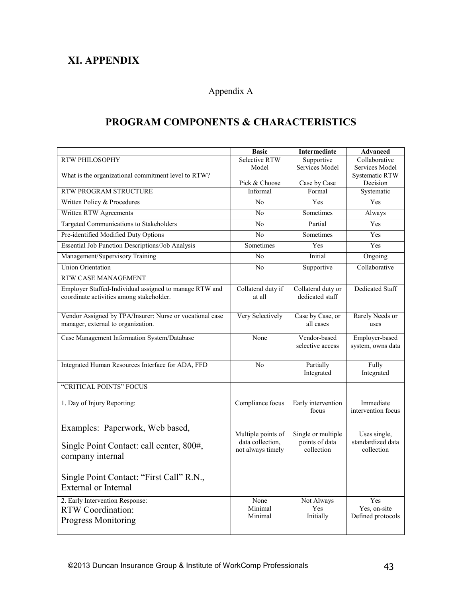# **XI. APPENDIX**

### Appendix A

# **PROGRAM COMPONENTS & CHARACTERISTICS**

|                                                                                                            | <b>Basic</b>                                                | Intermediate                                       | Advanced                                        |
|------------------------------------------------------------------------------------------------------------|-------------------------------------------------------------|----------------------------------------------------|-------------------------------------------------|
| RTW PHILOSOPHY                                                                                             | <b>Selective RTW</b>                                        | Supportive                                         | Collaborative                                   |
| What is the organizational commitment level to RTW?                                                        | Model                                                       | Services Model                                     | Services Model<br><b>Systematic RTW</b>         |
|                                                                                                            | Pick & Choose                                               | Case by Case                                       | Decision                                        |
| RTW PROGRAM STRUCTURE                                                                                      | Informal                                                    | Formal                                             | Systematic                                      |
| Written Policy & Procedures                                                                                | N <sub>0</sub>                                              | Yes                                                | Yes                                             |
| Written RTW Agreements                                                                                     | No                                                          | Sometimes                                          | Always                                          |
| Targeted Communications to Stakeholders                                                                    | No                                                          | Partial                                            | Yes                                             |
| Pre-identified Modified Duty Options                                                                       | N <sub>0</sub>                                              | Sometimes                                          | Yes                                             |
| Essential Job Function Descriptions/Job Analysis                                                           | Sometimes                                                   | Yes                                                | Yes                                             |
| Management/Supervisory Training                                                                            | N <sub>0</sub>                                              | Initial                                            | Ongoing                                         |
| <b>Union Orientation</b>                                                                                   | No                                                          | Supportive                                         | Collaborative                                   |
| RTW CASE MANAGEMENT                                                                                        |                                                             |                                                    |                                                 |
| Employer Staffed-Individual assigned to manage RTW and<br>coordinate activities among stakeholder.         | Collateral duty if<br>at all                                | Collateral duty or<br>dedicated staff              | <b>Dedicated Staff</b>                          |
| Vendor Assigned by TPA/Insurer: Nurse or vocational case<br>manager, external to organization.             | Very Selectively                                            | Case by Case, or<br>all cases                      | Rarely Needs or<br>uses                         |
| Case Management Information System/Database                                                                | None                                                        | Vendor-based<br>selective access                   | Employer-based<br>system, owns data             |
| Integrated Human Resources Interface for ADA, FFD                                                          | No                                                          | Partially<br>Integrated                            | Fully<br>Integrated                             |
| "CRITICAL POINTS" FOCUS                                                                                    |                                                             |                                                    |                                                 |
| 1. Day of Injury Reporting:                                                                                | Compliance focus                                            | Early intervention<br>focus                        | Immediate<br>intervention focus                 |
| Examples: Paperwork, Web based,<br>Single Point Contact: call center, 800#,<br>company internal            | Multiple points of<br>data collection,<br>not always timely | Single or multiple<br>points of data<br>collection | Uses single,<br>standardized data<br>collection |
| Single Point Contact: "First Call" R.N.,<br><b>External</b> or Internal<br>2. Early Intervention Response: | None                                                        | Not Always                                         | Yes                                             |
| RTW Coordination:<br><b>Progress Monitoring</b>                                                            | Minimal<br>Minimal                                          | Yes<br>Initially                                   | Yes, on-site<br>Defined protocols               |